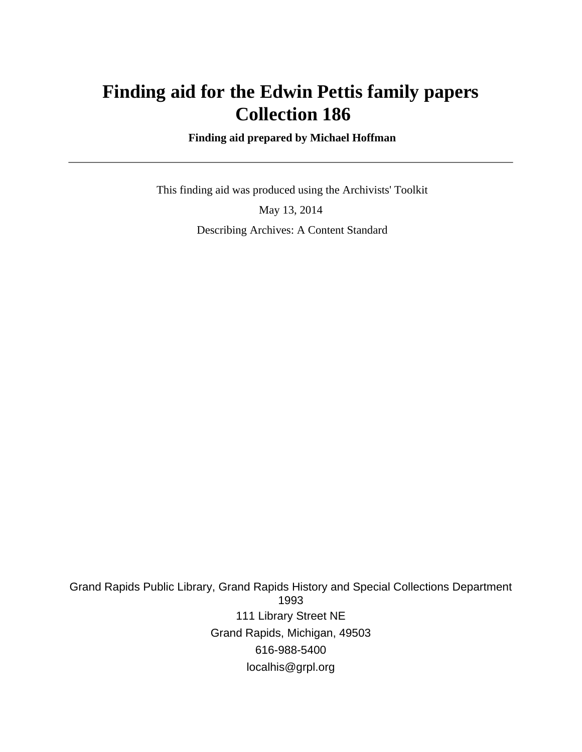# **Finding aid for the Edwin Pettis family papers Collection 186**

 **Finding aid prepared by Michael Hoffman**

 This finding aid was produced using the Archivists' Toolkit May 13, 2014 Describing Archives: A Content Standard

Grand Rapids Public Library, Grand Rapids History and Special Collections Department 1993 111 Library Street NE Grand Rapids, Michigan, 49503 616-988-5400 localhis@grpl.org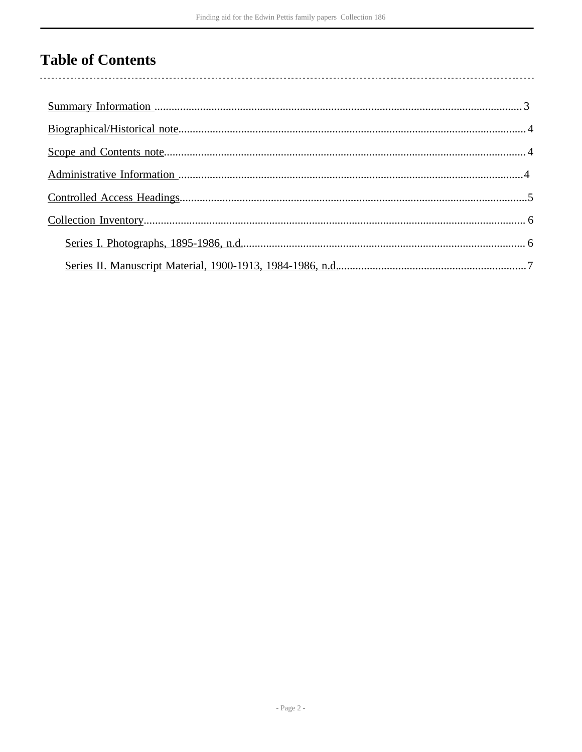# **Table of Contents**

 $\overline{\phantom{a}}$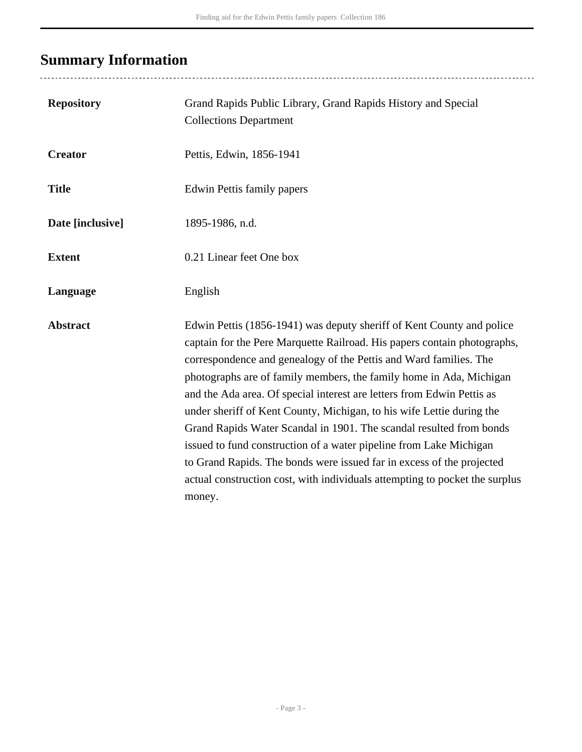# <span id="page-2-0"></span>**Summary Information**

...................................

| <b>Repository</b> | Grand Rapids Public Library, Grand Rapids History and Special<br><b>Collections Department</b>                                                                                                                                                                                                                                                                                                                                                                                                                                                                                                                                                                                                                                                                  |
|-------------------|-----------------------------------------------------------------------------------------------------------------------------------------------------------------------------------------------------------------------------------------------------------------------------------------------------------------------------------------------------------------------------------------------------------------------------------------------------------------------------------------------------------------------------------------------------------------------------------------------------------------------------------------------------------------------------------------------------------------------------------------------------------------|
| <b>Creator</b>    | Pettis, Edwin, 1856-1941                                                                                                                                                                                                                                                                                                                                                                                                                                                                                                                                                                                                                                                                                                                                        |
| <b>Title</b>      | <b>Edwin Pettis family papers</b>                                                                                                                                                                                                                                                                                                                                                                                                                                                                                                                                                                                                                                                                                                                               |
| Date [inclusive]  | 1895-1986, n.d.                                                                                                                                                                                                                                                                                                                                                                                                                                                                                                                                                                                                                                                                                                                                                 |
| <b>Extent</b>     | 0.21 Linear feet One box                                                                                                                                                                                                                                                                                                                                                                                                                                                                                                                                                                                                                                                                                                                                        |
| Language          | English                                                                                                                                                                                                                                                                                                                                                                                                                                                                                                                                                                                                                                                                                                                                                         |
| <b>Abstract</b>   | Edwin Pettis (1856-1941) was deputy sheriff of Kent County and police<br>captain for the Pere Marquette Railroad. His papers contain photographs,<br>correspondence and genealogy of the Pettis and Ward families. The<br>photographs are of family members, the family home in Ada, Michigan<br>and the Ada area. Of special interest are letters from Edwin Pettis as<br>under sheriff of Kent County, Michigan, to his wife Lettie during the<br>Grand Rapids Water Scandal in 1901. The scandal resulted from bonds<br>issued to fund construction of a water pipeline from Lake Michigan<br>to Grand Rapids. The bonds were issued far in excess of the projected<br>actual construction cost, with individuals attempting to pocket the surplus<br>money. |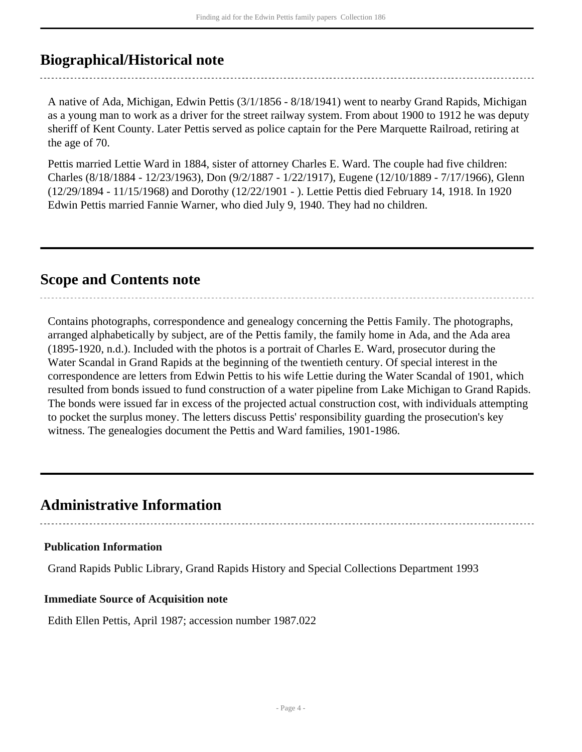## <span id="page-3-0"></span>**Biographical/Historical note**

A native of Ada, Michigan, Edwin Pettis (3/1/1856 - 8/18/1941) went to nearby Grand Rapids, Michigan as a young man to work as a driver for the street railway system. From about 1900 to 1912 he was deputy sheriff of Kent County. Later Pettis served as police captain for the Pere Marquette Railroad, retiring at the age of 70.

Pettis married Lettie Ward in 1884, sister of attorney Charles E. Ward. The couple had five children: Charles (8/18/1884 - 12/23/1963), Don (9/2/1887 - 1/22/1917), Eugene (12/10/1889 - 7/17/1966), Glenn (12/29/1894 - 11/15/1968) and Dorothy (12/22/1901 - ). Lettie Pettis died February 14, 1918. In 1920 Edwin Pettis married Fannie Warner, who died July 9, 1940. They had no children.

## <span id="page-3-1"></span>**Scope and Contents note**

Contains photographs, correspondence and genealogy concerning the Pettis Family. The photographs, arranged alphabetically by subject, are of the Pettis family, the family home in Ada, and the Ada area (1895-1920, n.d.). Included with the photos is a portrait of Charles E. Ward, prosecutor during the Water Scandal in Grand Rapids at the beginning of the twentieth century. Of special interest in the correspondence are letters from Edwin Pettis to his wife Lettie during the Water Scandal of 1901, which resulted from bonds issued to fund construction of a water pipeline from Lake Michigan to Grand Rapids. The bonds were issued far in excess of the projected actual construction cost, with individuals attempting to pocket the surplus money. The letters discuss Pettis' responsibility guarding the prosecution's key witness. The genealogies document the Pettis and Ward families, 1901-1986.

### <span id="page-3-2"></span>**Administrative Information**

### **Publication Information**

Grand Rapids Public Library, Grand Rapids History and Special Collections Department 1993

### **Immediate Source of Acquisition note**

Edith Ellen Pettis, April 1987; accession number 1987.022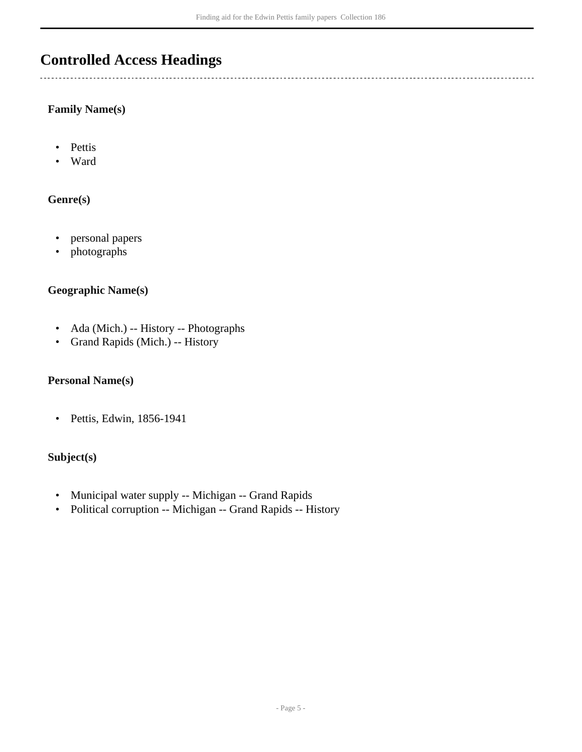## <span id="page-4-0"></span>**Controlled Access Headings**

### **Family Name(s)**

- Pettis
- Ward

### **Genre(s)**

- personal papers
- photographs

### **Geographic Name(s)**

- Ada (Mich.) -- History -- Photographs
- Grand Rapids (Mich.) -- History

#### **Personal Name(s)**

• Pettis, Edwin, 1856-1941

### **Subject(s)**

- Municipal water supply -- Michigan -- Grand Rapids
- Political corruption -- Michigan -- Grand Rapids -- History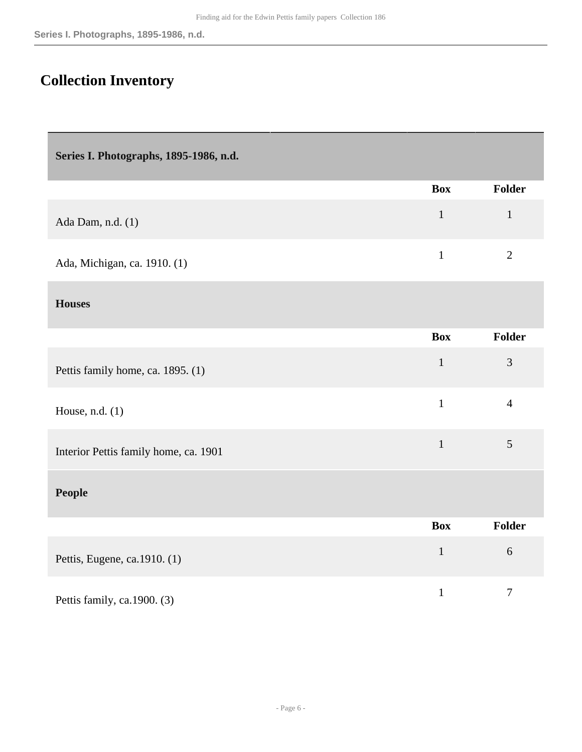## <span id="page-5-0"></span>**Collection Inventory**

<span id="page-5-1"></span>

| Series I. Photographs, 1895-1986, n.d. |              |                |
|----------------------------------------|--------------|----------------|
|                                        | <b>Box</b>   | <b>Folder</b>  |
| Ada Dam, n.d. (1)                      | $\mathbf{1}$ | $\mathbf{1}$   |
| Ada, Michigan, ca. 1910. (1)           | $\mathbf{1}$ | $\overline{2}$ |
| <b>Houses</b>                          |              |                |
|                                        | <b>Box</b>   | <b>Folder</b>  |
| Pettis family home, ca. 1895. (1)      | $\mathbf{1}$ | 3              |
| House, n.d. (1)                        | $\mathbf{1}$ | $\overline{4}$ |
| Interior Pettis family home, ca. 1901  | $\mathbf{1}$ | 5              |
| <b>People</b>                          |              |                |
|                                        | <b>Box</b>   | <b>Folder</b>  |
| Pettis, Eugene, ca.1910. (1)           | $\mathbf{1}$ | $6\,$          |
| Pettis family, ca.1900. (3)            | $\mathbf 1$  | $\overline{7}$ |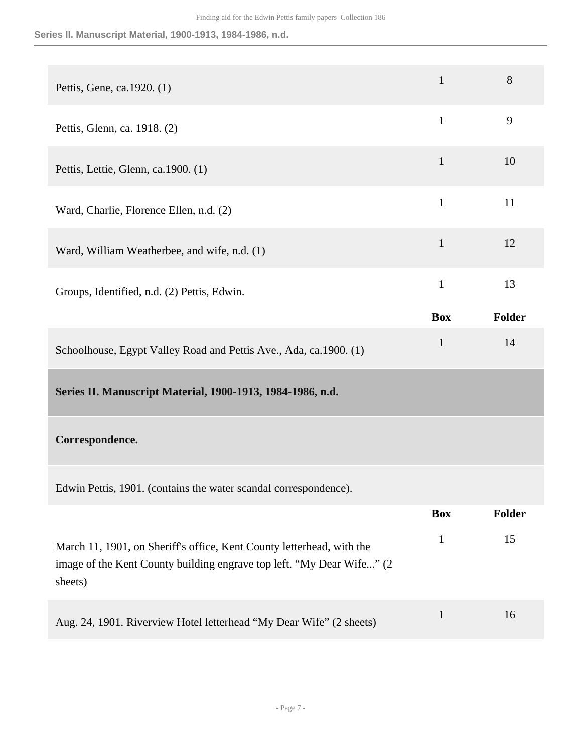**Series II. Manuscript Material, 1900-1913, 1984-1986, n.d.**

<span id="page-6-0"></span>

| Pettis, Gene, ca.1920. (1)                                                                                                                                | $\mathbf{1}$ | 8      |
|-----------------------------------------------------------------------------------------------------------------------------------------------------------|--------------|--------|
| Pettis, Glenn, ca. 1918. (2)                                                                                                                              | $\mathbf{1}$ | 9      |
| Pettis, Lettie, Glenn, ca.1900. (1)                                                                                                                       | $\mathbf{1}$ | 10     |
| Ward, Charlie, Florence Ellen, n.d. (2)                                                                                                                   | $\mathbf{1}$ | 11     |
| Ward, William Weatherbee, and wife, n.d. (1)                                                                                                              | $\mathbf{1}$ | 12     |
| Groups, Identified, n.d. (2) Pettis, Edwin.                                                                                                               | $\mathbf{1}$ | 13     |
|                                                                                                                                                           | <b>Box</b>   | Folder |
| Schoolhouse, Egypt Valley Road and Pettis Ave., Ada, ca.1900. (1)                                                                                         | $\mathbf{1}$ | 14     |
| Series II. Manuscript Material, 1900-1913, 1984-1986, n.d.                                                                                                |              |        |
| Correspondence.                                                                                                                                           |              |        |
| Edwin Pettis, 1901. (contains the water scandal correspondence).                                                                                          |              |        |
|                                                                                                                                                           | <b>Box</b>   | Folder |
| March 11, 1901, on Sheriff's office, Kent County letterhead, with the<br>image of the Kent County building engrave top left. "My Dear Wife" (2<br>sheets) | $\mathbf{1}$ | 15     |
| Aug. 24, 1901. Riverview Hotel letterhead "My Dear Wife" (2 sheets)                                                                                       | $\mathbf{1}$ | 16     |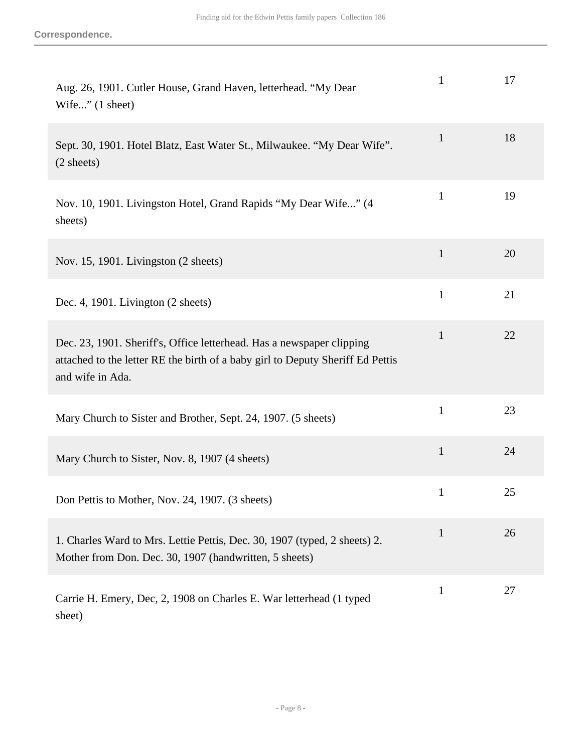| Aug. 26, 1901. Cutler House, Grand Haven, letterhead. "My Dear<br>Wife" $(1 \text{ sheet})$                                                                                 | 1            | 17 |
|-----------------------------------------------------------------------------------------------------------------------------------------------------------------------------|--------------|----|
| Sept. 30, 1901. Hotel Blatz, East Water St., Milwaukee. "My Dear Wife".<br>$(2 \text{ sheets})$                                                                             | $\mathbf{1}$ | 18 |
| Nov. 10, 1901. Livingston Hotel, Grand Rapids "My Dear Wife" (4<br>sheets)                                                                                                  | $\mathbf{1}$ | 19 |
| Nov. 15, 1901. Livingston (2 sheets)                                                                                                                                        | $\mathbf{1}$ | 20 |
| Dec. 4, 1901. Livington (2 sheets)                                                                                                                                          | $\mathbf{1}$ | 21 |
| Dec. 23, 1901. Sheriff's, Office letterhead. Has a newspaper clipping<br>attached to the letter RE the birth of a baby girl to Deputy Sheriff Ed Pettis<br>and wife in Ada. | $\mathbf{1}$ | 22 |
| Mary Church to Sister and Brother, Sept. 24, 1907. (5 sheets)                                                                                                               | $\mathbf{1}$ | 23 |
| Mary Church to Sister, Nov. 8, 1907 (4 sheets)                                                                                                                              | $\mathbf{1}$ | 24 |
| Don Pettis to Mother, Nov. 24, 1907. (3 sheets)                                                                                                                             | $\mathbf 1$  | 25 |
| 1. Charles Ward to Mrs. Lettie Pettis, Dec. 30, 1907 (typed, 2 sheets) 2.<br>Mother from Don. Dec. 30, 1907 (handwritten, 5 sheets)                                         | 1            | 26 |
| Carrie H. Emery, Dec, 2, 1908 on Charles E. War letterhead (1 typed<br>sheet)                                                                                               | $\mathbf{1}$ | 27 |